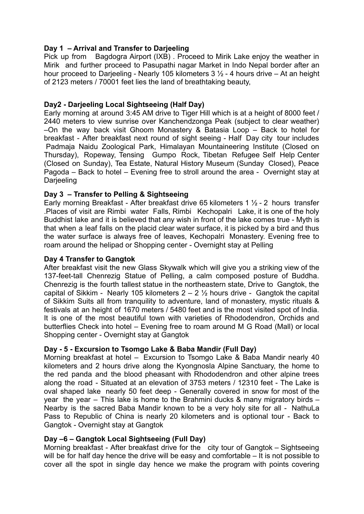# **Day 1 – Arrival and Transfer to Darjeeling**

Pick up from Bagdogra Airport (IXB) . Proceed to Mirik Lake enjoy the weather in Mirik and further proceed to Pasupathi nagar Market in Indo Nepal border after an hour proceed to Darjeeling - Nearly 105 kilometers  $3\frac{1}{2}$  - 4 hours drive – At an height of 2123 meters / 70001 feet lies the land of breathtaking beauty,

## **Day2 - Darjeeling Local Sightseeing (Half Day)**

Early morning at around 3:45 AM drive to Tiger Hill which is at a height of 8000 feet / 2440 meters to view sunrise over Kanchendzonga Peak (subject to clear weather) –On the way back visit Ghoom Monastery & Batasia Loop – Back to hotel for breakfast - After breakfast next round of sight seeing - Half Day city tour includes Padmaja Naidu Zoological Park, Himalayan Mountaineering Institute (Closed on Thursday), Ropeway, Tensing Gumpo Rock, Tibetan Refugee Self Help Center (Closed on Sunday), Tea Estate, Natural History Museum (Sunday Closed), Peace Pagoda – Back to hotel – Evening free to stroll around the area - Overnight stay at Darjeeling

## **Day 3 – Transfer to Pelling & Sightseeing**

Early morning Breakfast - After breakfast drive 65 kilometers 1 ½ - 2 hours transfer .Places of visit are Rimbi water Falls, Rimbi Kechopalri Lake, it is one of the holy Buddhist lake and it is believed that any wish in front of the lake comes true - Myth is that when a leaf falls on the placid clear water surface, it is picked by a bird and thus the water surface is always free of leaves, Kechopalri Monastery. Evening free to roam around the helipad or Shopping center - Overnight stay at Pelling

#### **Day 4 Transfer to Gangtok**

After breakfast visit the new Glass Skywalk which will give you a striking view of the 137-feet-tall Chenrezig Statue of Pelling, a calm composed posture of Buddha. Chenrezig is the fourth tallest statue in the northeastern state, Drive to Gangtok, the capital of Sikkim - Nearly 105 kilometers  $2 - 2 \frac{1}{2}$  hours drive - Gangtok the capital of Sikkim Suits all from tranquility to adventure, land of monastery, mystic rituals & festivals at an height of 1670 meters / 5480 feet and is the most visited spot of India. It is one of the most beautiful town with varieties of Rhododendron, Orchids and butterflies Check into hotel – Evening free to roam around M G Road (Mall) or local Shopping center - Overnight stay at Gangtok

## **Day - 5 - Excursion to Tsomgo Lake & Baba Mandir (Full Day)**

Morning breakfast at hotel – Excursion to Tsomgo Lake & Baba Mandir nearly 40 kilometers and 2 hours drive along the Kyongnosla Alpine Sanctuary, the home to the red panda and the blood pheasant with Rhododendron and other alpine trees along the road - Situated at an elevation of 3753 meters / 12310 feet - The Lake is oval shaped lake nearly 50 feet deep - Generally covered in snow for most of the year the year – This lake is home to the Brahmini ducks & many migratory birds – Nearby is the sacred Baba Mandir known to be a very holy site for all - NathuLa Pass to Republic of China is nearly 20 kilometers and is optional tour - Back to Gangtok - Overnight stay at Gangtok

## **Day –6 – Gangtok Local Sightseeing (Full Day)**

Morning breakfast - After breakfast drive for the city tour of Gangtok – Sightseeing will be for half day hence the drive will be easy and comfortable – It is not possible to cover all the spot in single day hence we make the program with points covering